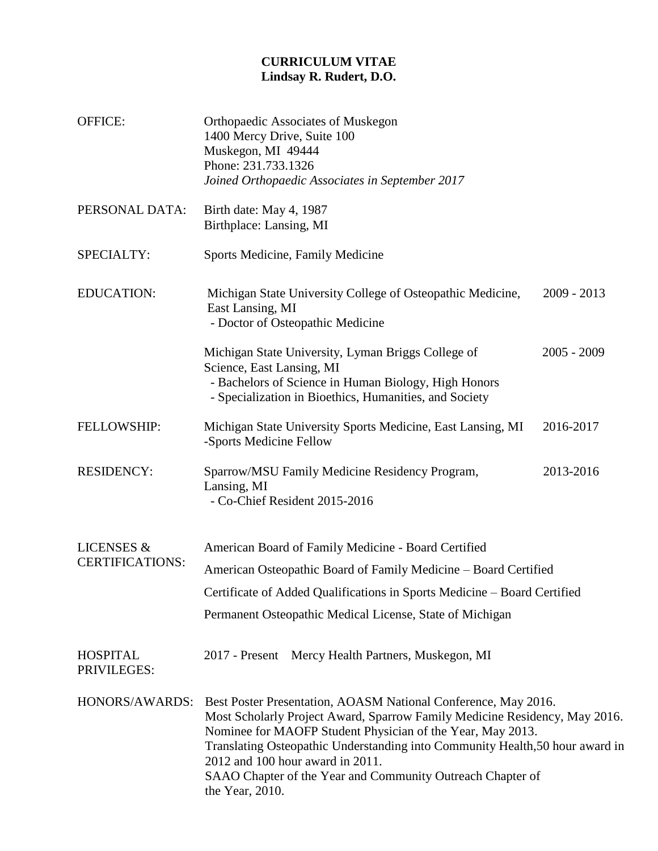## **CURRICULUM VITAE Lindsay R. Rudert, D.O.**

| <b>OFFICE:</b>                                  | Orthopaedic Associates of Muskegon<br>1400 Mercy Drive, Suite 100<br>Muskegon, MI 49444<br>Phone: 231.733.1326<br>Joined Orthopaedic Associates in September 2017                                                                                                                                                                                                                                                |               |  |
|-------------------------------------------------|------------------------------------------------------------------------------------------------------------------------------------------------------------------------------------------------------------------------------------------------------------------------------------------------------------------------------------------------------------------------------------------------------------------|---------------|--|
| PERSONAL DATA:                                  | Birth date: May 4, 1987<br>Birthplace: Lansing, MI                                                                                                                                                                                                                                                                                                                                                               |               |  |
| SPECIALTY:                                      | Sports Medicine, Family Medicine                                                                                                                                                                                                                                                                                                                                                                                 |               |  |
| <b>EDUCATION:</b>                               | Michigan State University College of Osteopathic Medicine,<br>East Lansing, MI<br>- Doctor of Osteopathic Medicine                                                                                                                                                                                                                                                                                               | $2009 - 2013$ |  |
|                                                 | Michigan State University, Lyman Briggs College of<br>Science, East Lansing, MI<br>- Bachelors of Science in Human Biology, High Honors<br>- Specialization in Bioethics, Humanities, and Society                                                                                                                                                                                                                | $2005 - 2009$ |  |
| FELLOWSHIP:                                     | Michigan State University Sports Medicine, East Lansing, MI<br>-Sports Medicine Fellow                                                                                                                                                                                                                                                                                                                           | 2016-2017     |  |
| <b>RESIDENCY:</b>                               | Sparrow/MSU Family Medicine Residency Program,<br>Lansing, MI<br>- Co-Chief Resident 2015-2016                                                                                                                                                                                                                                                                                                                   | 2013-2016     |  |
| <b>LICENSES &amp;</b><br><b>CERTIFICATIONS:</b> | American Board of Family Medicine - Board Certified                                                                                                                                                                                                                                                                                                                                                              |               |  |
|                                                 | American Osteopathic Board of Family Medicine - Board Certified                                                                                                                                                                                                                                                                                                                                                  |               |  |
|                                                 | Certificate of Added Qualifications in Sports Medicine - Board Certified                                                                                                                                                                                                                                                                                                                                         |               |  |
|                                                 | Permanent Osteopathic Medical License, State of Michigan                                                                                                                                                                                                                                                                                                                                                         |               |  |
| <b>HOSPITAL</b><br>PRIVILEGES:                  | Mercy Health Partners, Muskegon, MI<br>$2017$ - Present                                                                                                                                                                                                                                                                                                                                                          |               |  |
| HONORS/AWARDS:                                  | Best Poster Presentation, AOASM National Conference, May 2016.<br>Most Scholarly Project Award, Sparrow Family Medicine Residency, May 2016.<br>Nominee for MAOFP Student Physician of the Year, May 2013.<br>Translating Osteopathic Understanding into Community Health, 50 hour award in<br>2012 and 100 hour award in 2011.<br>SAAO Chapter of the Year and Community Outreach Chapter of<br>the Year, 2010. |               |  |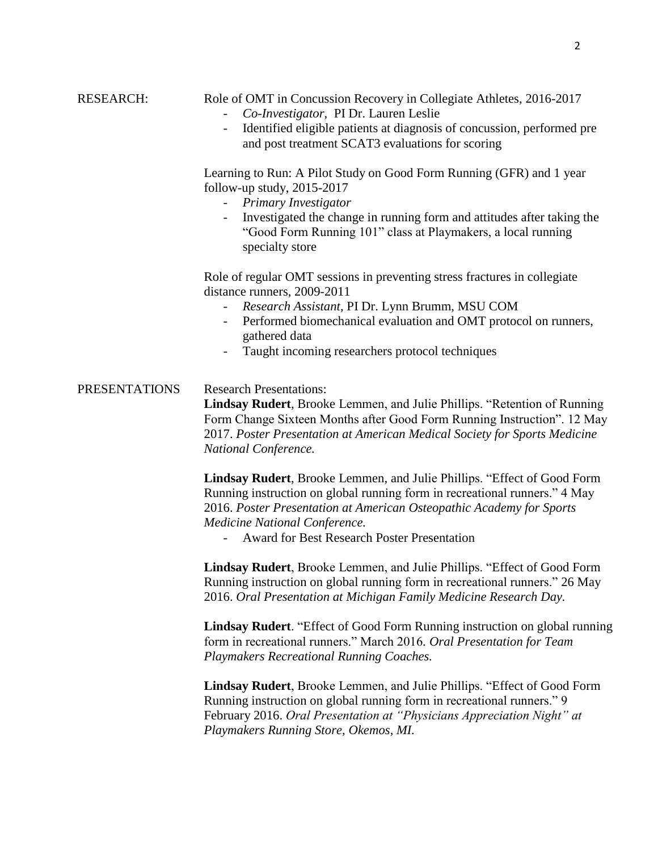| <b>RESEARCH:</b>     | Role of OMT in Concussion Recovery in Collegiate Athletes, 2016-2017<br>Co-Investigator, PI Dr. Lauren Leslie<br>Identified eligible patients at diagnosis of concussion, performed pre<br>and post treatment SCAT3 evaluations for scoring                                                                           |  |  |
|----------------------|-----------------------------------------------------------------------------------------------------------------------------------------------------------------------------------------------------------------------------------------------------------------------------------------------------------------------|--|--|
|                      | Learning to Run: A Pilot Study on Good Form Running (GFR) and 1 year<br>follow-up study, $2015-2017$<br>Primary Investigator<br>Investigated the change in running form and attitudes after taking the<br>$\overline{\phantom{a}}$<br>"Good Form Running 101" class at Playmakers, a local running<br>specialty store |  |  |
|                      | Role of regular OMT sessions in preventing stress fractures in collegiate<br>distance runners, 2009-2011<br>Research Assistant, PI Dr. Lynn Brumm, MSU COM<br>Performed biomechanical evaluation and OMT protocol on runners,<br>gathered data<br>Taught incoming researchers protocol techniques                     |  |  |
| <b>PRESENTATIONS</b> | <b>Research Presentations:</b><br>Lindsay Rudert, Brooke Lemmen, and Julie Phillips. "Retention of Running<br>Form Change Sixteen Months after Good Form Running Instruction". 12 May<br>2017. Poster Presentation at American Medical Society for Sports Medicine<br>National Conference.                            |  |  |
|                      | Lindsay Rudert, Brooke Lemmen, and Julie Phillips. "Effect of Good Form<br>Running instruction on global running form in recreational runners." 4 May<br>2016. Poster Presentation at American Osteopathic Academy for Sports<br>Medicine National Conference.<br><b>Award for Best Research Poster Presentation</b>  |  |  |
|                      | Lindsay Rudert, Brooke Lemmen, and Julie Phillips. "Effect of Good Form<br>Running instruction on global running form in recreational runners." 26 May<br>2016. Oral Presentation at Michigan Family Medicine Research Day.                                                                                           |  |  |
|                      | <b>Lindsay Rudert</b> . "Effect of Good Form Running instruction on global running<br>form in recreational runners." March 2016. Oral Presentation for Team<br><b>Playmakers Recreational Running Coaches.</b>                                                                                                        |  |  |
|                      | Lindsay Rudert, Brooke Lemmen, and Julie Phillips. "Effect of Good Form<br>Running instruction on global running form in recreational runners." 9<br>February 2016. Oral Presentation at "Physicians Appreciation Night" at<br>Playmakers Running Store, Okemos, MI.                                                  |  |  |